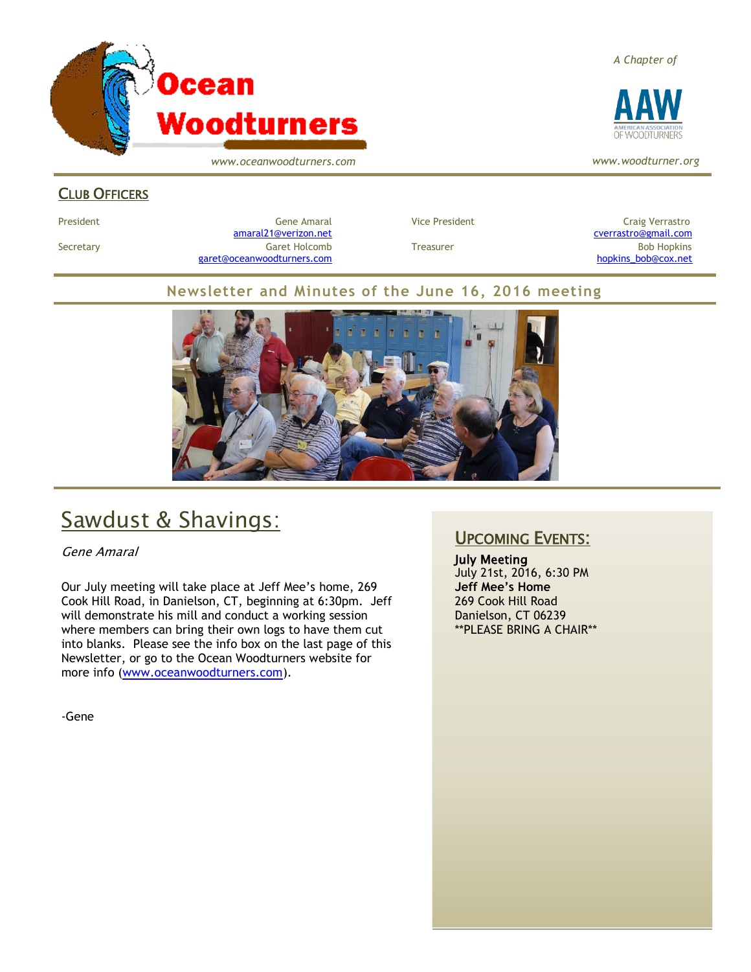

*www.oceanwoodturners.com*

#### *A Chapter of*



*www.woodturner.org*

#### CLUB OFFICERS

President Gene Amaral Vice President Craig Verrastro [amaral21@verizon.net](mailto:amaral21@verizon.net) [cverrastro@gmail.com](mailto:cverrastro@gmail.com) Secretary Garet Holcomb Treasurer Bob Hopkins Bob Hopkins (Bob Hopkins Garet Holcomb [garet@oceanwoodturners.com](mailto:garet@oceanwoodturners.com) and the state of the state of the state of the state of the state of the state of the state of the state of the state of the state of the state of the state of the state of the state of the state

#### **Newsletter and Minutes of the June 16, 2016 meeting**



# Sawdust & Shavings:

Gene Amaral

Our July meeting will take place at Jeff Mee's home, 269 Cook Hill Road, in Danielson, CT, beginning at 6:30pm. Jeff will demonstrate his mill and conduct a working session where members can bring their own logs to have them cut into blanks. Please see the info box on the last page of this Newsletter, or go to the Ocean Woodturners website for more info [\(www.oceanwoodturners.com\)](http://www.oceanwoodturners.com/).

-Gene

#### UPCOMING EVENTS:

July Meeting July 21st, 2016, 6:30 PM **Jeff Mee's Home** 269 Cook Hill Road Danielson, CT 06239 \*\*PLEASE BRING A CHAIR\*\*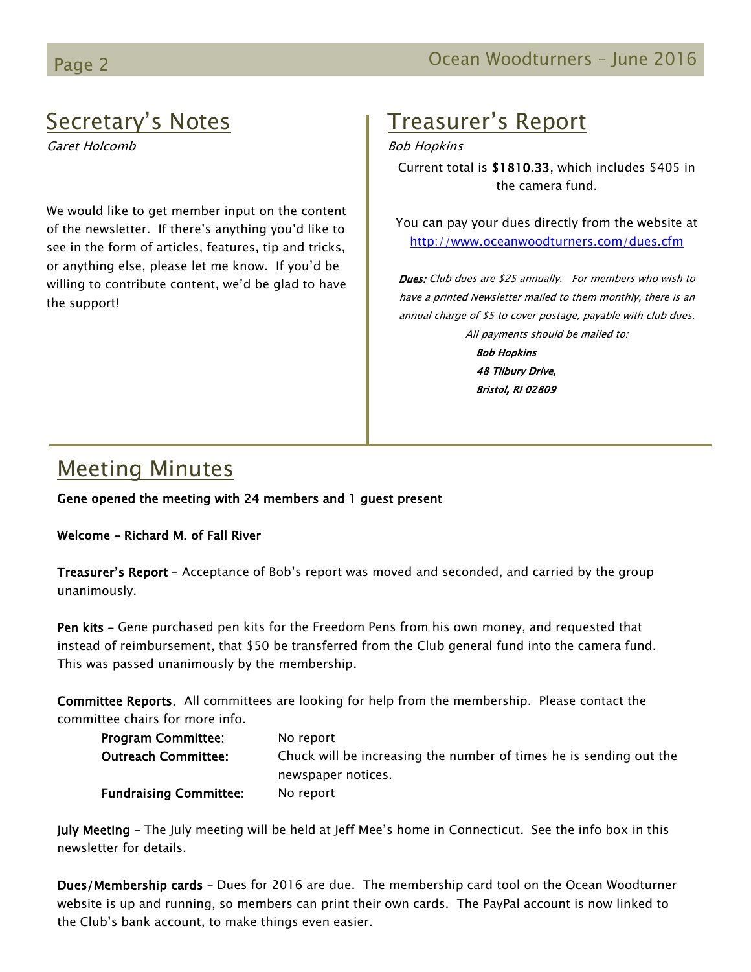# Secretary's Notes

Garet Holcomb

We would like to get member input on the content of the newsletter. If there's anything you'd like to see in the form of articles, features, tip and tricks, or anything else, please let me know. If you'd be willing to contribute content, we'd be glad to have the support!

# Treasurer's Report

Bob Hopkins

Current total is \$1810.33, which includes \$405 in the camera fund.

You can pay your dues directly from the website at <http://www.oceanwoodturners.com/dues.cfm>

Dues: Club dues are \$25 annually. For members who wish to have a printed Newsletter mailed to them monthly, there is an annual charge of \$5 to cover postage, payable with club dues. All payments should be mailed to:

> Bob Hopkins 48 Tilbury Drive, Bristol, RI 02809

# Meeting Minutes

Gene opened the meeting with 24 members and 1 guest present

Welcome – Richard M. of Fall River

Treasurer's Report – Acceptance of Bob's report was moved and seconded, and carried by the group unanimously.

Pen kits - Gene purchased pen kits for the Freedom Pens from his own money, and requested that instead of reimbursement, that \$50 be transferred from the Club general fund into the camera fund. This was passed unanimously by the membership.

Committee Reports. All committees are looking for help from the membership. Please contact the committee chairs for more info.

| <b>Program Committee:</b><br><b>Outreach Committee:</b> | No report<br>Chuck will be increasing the number of times he is sending out the |
|---------------------------------------------------------|---------------------------------------------------------------------------------|
|                                                         | newspaper notices.                                                              |
| <b>Fundraising Committee:</b>                           | No report                                                                       |

July Meeting – The July meeting will be held at Jeff Mee's home in Connecticut. See the info box in this newsletter for details.

Dues/Membership cards – Dues for 2016 are due. The membership card tool on the Ocean Woodturner website is up and running, so members can print their own cards. The PayPal account is now linked to the Club's bank account, to make things even easier.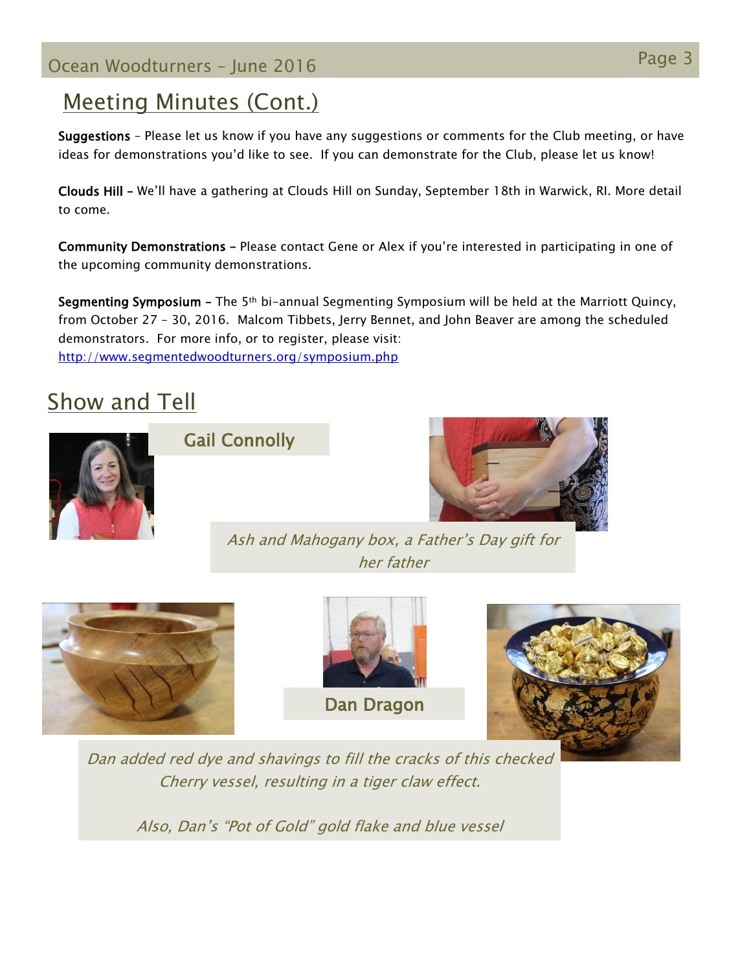## Page 3 Ocean Woodturners – June <sup>2016</sup>

### Meeting Minutes (Cont.)

Suggestions – Please let us know if you have any suggestions or comments for the Club meeting, or have ideas for demonstrations you'd like to see. If you can demonstrate for the Club, please let us know!

Clouds Hill – We'll have a gathering at Clouds Hill on Sunday, September 18th in Warwick, RI. More detail to come.

Community Demonstrations – Please contact Gene or Alex if you're interested in participating in one of the upcoming community demonstrations.

Segmenting Symposium – The 5th bi-annual Segmenting Symposium will be held at the Marriott Quincy, from October 27 – 30, 2016. Malcom Tibbets, Jerry Bennet, and John Beaver are among the scheduled demonstrators. For more info, or to register, please visit: <http://www.segmentedwoodturners.org/symposium.php>

# Show and Tell



Gail Connolly



Ash and Mahogany box, a Father's Day gift for her father



Dan added red dye and shavings to fill the cracks of this checked Cherry vessel, resulting in a tiger claw effect.

Also, Dan's "Pot of Gold" gold flake and blue vessel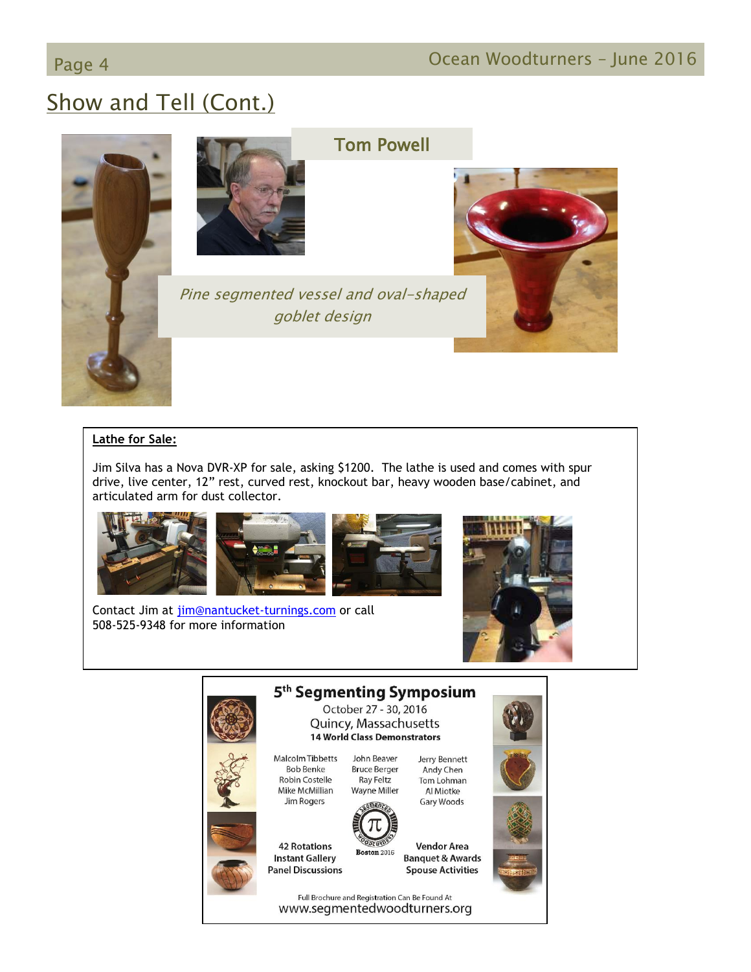# Show and Tell (Cont.)



#### Tom Powell

Pine segmented vessel and oval-shaped goblet design

#### **Lathe for Sale:**

Jim Silva has a Nova DVR-XP for sale, asking \$1200. The lathe is used and comes with spur drive, live center, 12" rest, curved rest, knockout bar, heavy wooden base/cabinet, and articulated arm for dust collector.



Contact Jim at [jim@nantucket-turnings.com](mailto:jim@nantucket-turnings.com) or call 508-525-9348 for more information





Full Brochure and Registration Can Be Found At www.segmentedwoodturners.org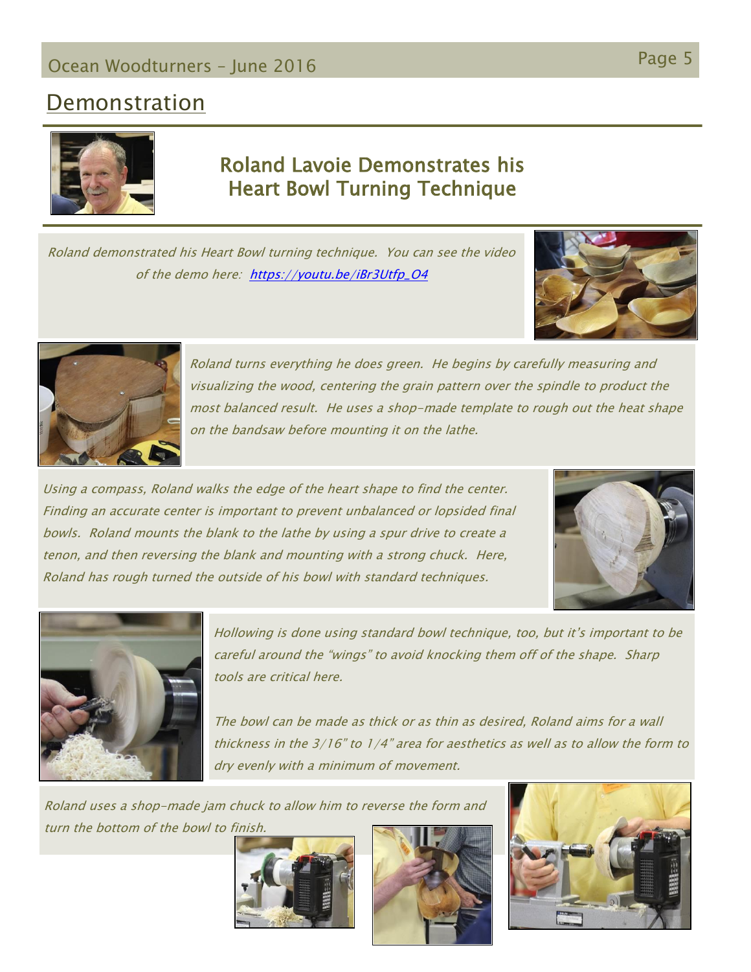# Page 5 Ocean Woodturners – June <sup>2016</sup>

#### **Demonstration**



#### Roland Lavoie Demonstrates his Heart Bowl Turning Technique

Roland demonstrated his Heart Bowl turning technique. You can see the video of the demo here: [https://youtu.be/iBr3Utfp\\_O4](https://youtu.be/iBr3Utfp_O4)





Roland turns everything he does green. He begins by carefully measuring and visualizing the wood, centering the grain pattern over the spindle to product the most balanced result. He uses a shop-made template to rough out the heat shape on the bandsaw before mounting it on the lathe.

Using a compass, Roland walks the edge of the heart shape to find the center. Finding an accurate center is important to prevent unbalanced or lopsided final bowls. Roland mounts the blank to the lathe by using a spur drive to create a tenon, and then reversing the blank and mounting with a strong chuck. Here, Roland has rough turned the outside of his bowl with standard techniques.





Hollowing is done using standard bowl technique, too, but it's important to be careful around the "wings" to avoid knocking them off of the shape. Sharp tools are critical here.

The bowl can be made as thick or as thin as desired, Roland aims for a wall thickness in the 3/16" to 1/4" area for aesthetics as well as to allow the form to dry evenly with a minimum of movement.

Roland uses a shop-made jam chuck to allow him to reverse the form and turn the bottom of the bowl to finish.